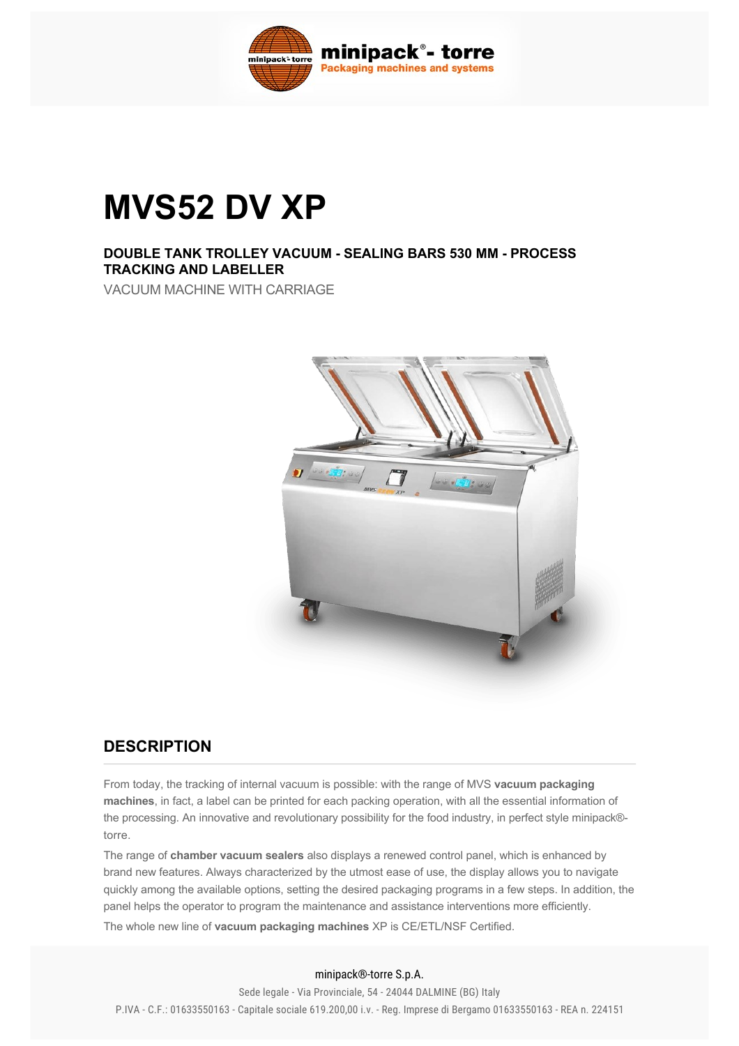

# **MVS52 DV XP**

### **DOUBLE TANK TROLLEY VACUUM SEALING BARS 530 MM PROCESS TRACKING AND LABELLER**

VACUUM MACHINE WITH CARRIAGE



## **DESCRIPTION**

From today, the tracking of internal vacuum is possible: with the range of MVS **vacuum packaging machines**, in fact, a label can be printed for each packing operation, with all the essential information of the processing. An innovative and revolutionary possibility for the food industry, in perfect style minipack® torre.

The range of **chamber vacuum sealers** also displays a renewed control panel, which is enhanced by brand new features. Always characterized by the utmost ease of use, the display allows you to navigate quickly among the available options, setting the desired packaging programs in a few steps. In addition, the panel helps the operator to program the maintenance and assistance interventions more efficiently.

The whole new line of **vacuum packaging machines** XP is CE/ETL/NSF Certified.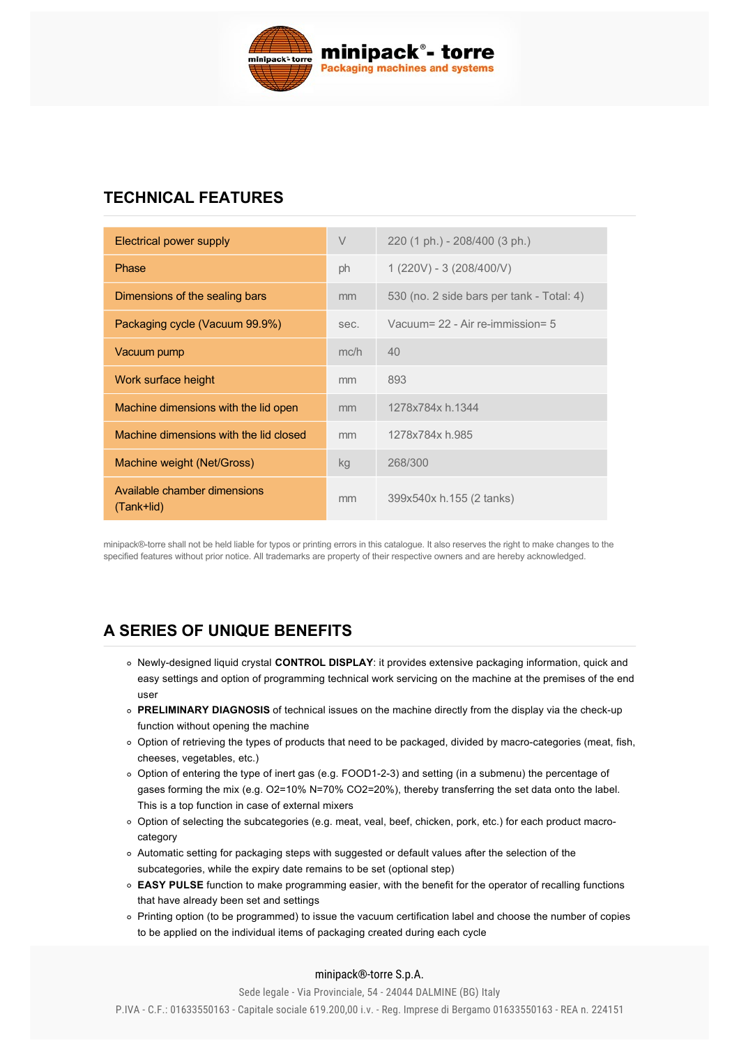

## **TECHNICAL FEATURES**

| Electrical power supply                    | V    | 220 (1 ph.) - 208/400 (3 ph.)             |
|--------------------------------------------|------|-------------------------------------------|
| Phase                                      | ph   | $1(220V) - 3(208/400/V)$                  |
| Dimensions of the sealing bars             | mm   | 530 (no. 2 side bars per tank - Total: 4) |
| Packaging cycle (Vacuum 99.9%)             | sec. | Vacuum= $22 - Air$ re-immission= 5        |
| Vacuum pump                                | mc/h | 40                                        |
| Work surface height                        | mm   | 893                                       |
| Machine dimensions with the lid open       | mm   | 1278x784x h.1344                          |
| Machine dimensions with the lid closed     | mm   | 1278x784x h.985                           |
| Machine weight (Net/Gross)                 | kg   | 268/300                                   |
| Available chamber dimensions<br>(Tank+lid) | mm   | 399x540x h.155 (2 tanks)                  |

minipack®torre shall not be held liable for typos or printing errors in this catalogue. It also reserves the right to make changes to the specified features without prior notice. All trademarks are property of their respective owners and are hereby acknowledged.

# **[A SERIES OF UNIQUE BENEFITS](#page-1-0)**

- <span id="page-1-0"></span>Newlydesigned liquid crystal **CONTROL DISPLAY**: it provides extensive packaging information, quick and easy settings and option of programming technical work servicing on the machine at the premises of the end user
- **PRELIMINARY DIAGNOSIS** of technical issues on the machine directly from the display via the checkup function without opening the machine
- o Option of retrieving the types of products that need to be packaged, divided by macro-categories (meat, fish, cheeses, vegetables, etc.)
- o Option of entering the type of inert gas (e.g. FOOD1-2-3) and setting (in a submenu) the percentage of gases forming the mix (e.g. O2=10% N=70% CO2=20%), thereby transferring the set data onto the label. This is a top function in case of external mixers
- Option of selecting the subcategories (e.g. meat, veal, beef, chicken, pork, etc.) for each product macrocategory
- Automatic setting for packaging steps with suggested or default values after the selection of the subcategories, while the expiry date remains to be set (optional step)
- **EASY PULSE** function to make programming easier, with the benefit for the operator of recalling functions that have already been set and settings
- Printing option (to be programmed) to issue the vacuum certification label and choose the number of copies to be applied on the individual items of packaging created during each cycle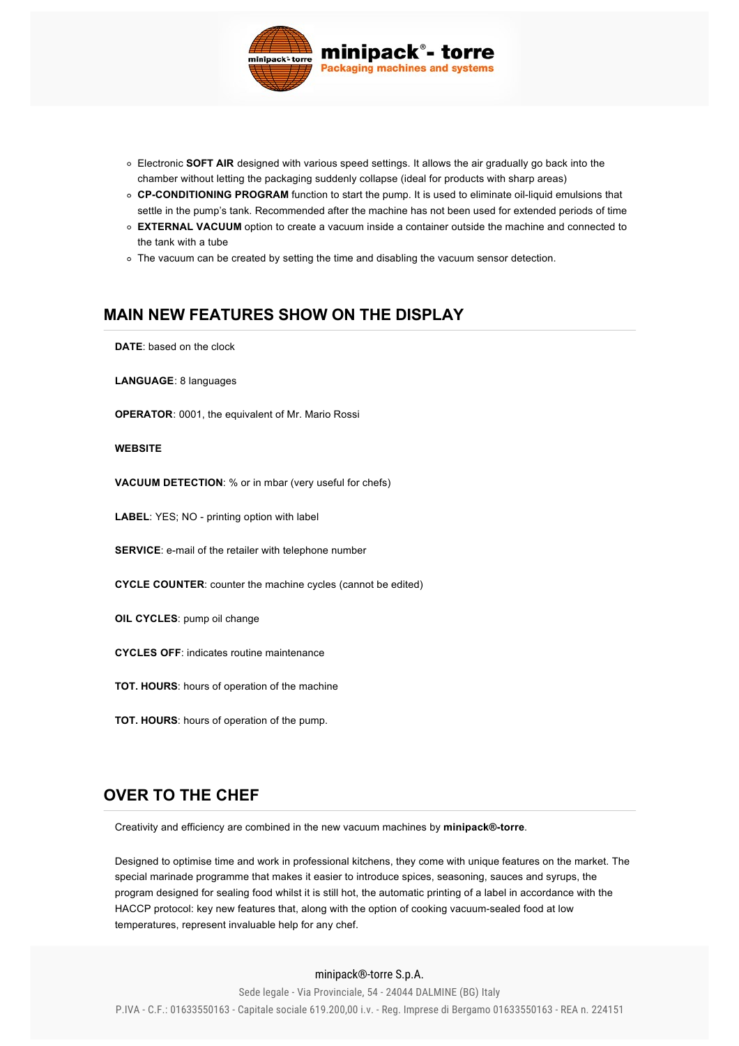

- Electronic **SOFT AIR** designed with various speed settings. It allows the air gradually go back into the chamber without letting the packaging suddenly collapse (ideal for products with sharp areas)
- o **CP-CONDITIONING PROGRAM** function to start the pump. It is used to eliminate oil-liquid emulsions that settle in the pump's tank. Recommended after the machine has not been used for extended periods of time
- **EXTERNAL VACUUM** option to create a vacuum inside a container outside the machine and connected to the tank with a tube
- The vacuum can be created by setting the time and disabling the vacuum sensor detection.

## **[MAIN NEW FEATURES SHOW ON THE DISPLAY](#page-2-0)**

<span id="page-2-0"></span>**DATE**: based on the clock

**LANGUAGE**: 8 languages

**OPERATOR**: 0001, the equivalent of Mr. Mario Rossi

#### **WEBSITE**

**VACUUM DETECTION**: % or in mbar (very useful for chefs)

LABEL: YES; NO - printing option with label

**SERVICE:** e-mail of the retailer with telephone number

**CYCLE COUNTER**: counter the machine cycles (cannot be edited)

- **OIL CYCLES**: pump oil change
- **CYCLES OFF**: indicates routine maintenance
- **TOT. HOURS**: hours of operation of the machine
- **TOT. HOURS**: hours of operation of the pump.

#### **[OVER TO THE CHEF](#page-2-1)**

<span id="page-2-1"></span>Creativity and efficiency are combined in the new vacuum machines by **minipack®torre**.

Designed to optimise time and work in professional kitchens, they come with unique features on the market. The special marinade programme that makes it easier to introduce spices, seasoning, sauces and syrups, the program designed for sealing food whilst it is still hot, the automatic printing of a label in accordance with the HACCP protocol: key new features that, along with the option of cooking vacuum-sealed food at low temperatures, represent invaluable help for any chef.